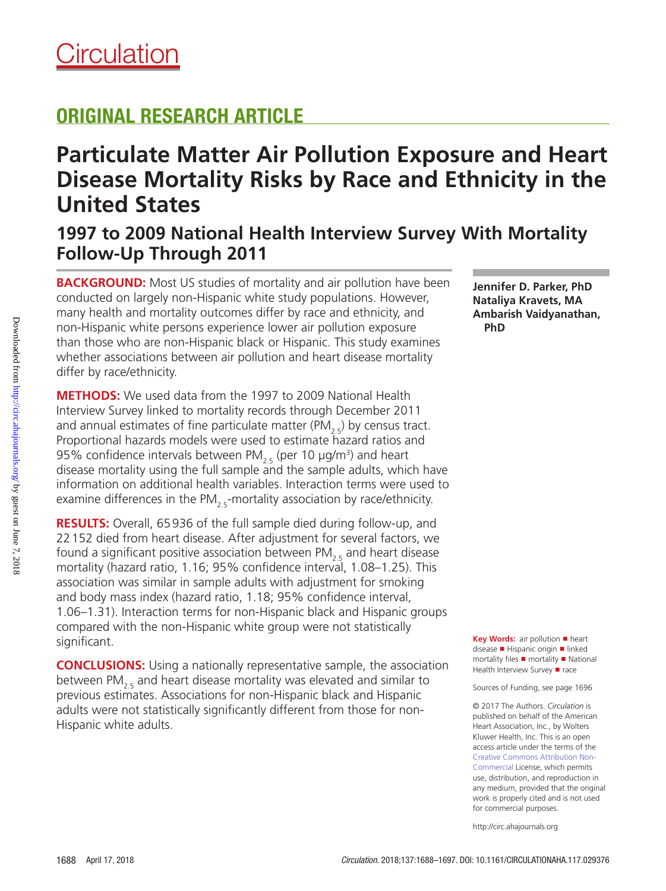## ORIGINAL RESEARCH ARTICLE

# **Particulate Matter Air Pollution Exposure and Heart Disease Mortality Risks by Race and Ethnicity in the United States**

**1997 to 2009 National Health Interview Survey With Mortality Follow-Up Through 2011**

**BACKGROUND:** Most US studies of mortality and air pollution have been conducted on largely non-Hispanic white study populations. However, many health and mortality outcomes differ by race and ethnicity, and non-Hispanic white persons experience lower air pollution exposure than those who are non-Hispanic black or Hispanic. This study examines whether associations between air pollution and heart disease mortality differ by race/ethnicity.

**METHODS:** We used data from the 1997 to 2009 National Health Interview Survey linked to mortality records through December 2011 and annual estimates of fine particulate matter (PM<sub>2.5</sub>) by census tract. Proportional hazards models were used to estimate hazard ratios and 95% confidence intervals between PM $_{2.5}$  (per 10  $\mu$ g/m<sup>3</sup>) and heart disease mortality using the full sample and the sample adults, which have information on additional health variables. Interaction terms were used to examine differences in the PM<sub>2.5</sub>-mortality association by race/ethnicity.

**RESULTS:** Overall, 65936 of the full sample died during follow-up, and 22152 died from heart disease. After adjustment for several factors, we found a significant positive association between  $PM_{25}$  and heart disease mortality (hazard ratio, 1.16; 95% confidence interval, 1.08–1.25). This association was similar in sample adults with adjustment for smoking and body mass index (hazard ratio, 1.18; 95% confidence interval, 1.06–1.31). Interaction terms for non-Hispanic black and Hispanic groups compared with the non-Hispanic white group were not statistically significant.

**CONCLUSIONS:** Using a nationally representative sample, the association between PM<sub>2.5</sub> and heart disease mortality was elevated and similar to previous estimates. Associations for non-Hispanic black and Hispanic adults were not statistically significantly different from those for non-Hispanic white adults.

**Jennifer D. Parker, PhD Nataliya Kravets, MA Ambarish Vaidyanathan, PhD**

**Key Words:** air pollution ■ heart disease ■ Hispanic origin ■ linked mortality files ■ mortality ■ National Health Interview Survey ■ race

Sources of Funding, see page 1696

© 2017 The Authors. *Circulation* is published on behalf of the American Heart Association, Inc., by Wolters Kluwer Health, Inc. This is an open access article under the terms of the Creative Commons Attribution Non-Commercial License, which permits use, distribution, and reproduction in any medium, provided that the original work is properly cited and is not used for commercial purposes.

http://circ.ahajournals.org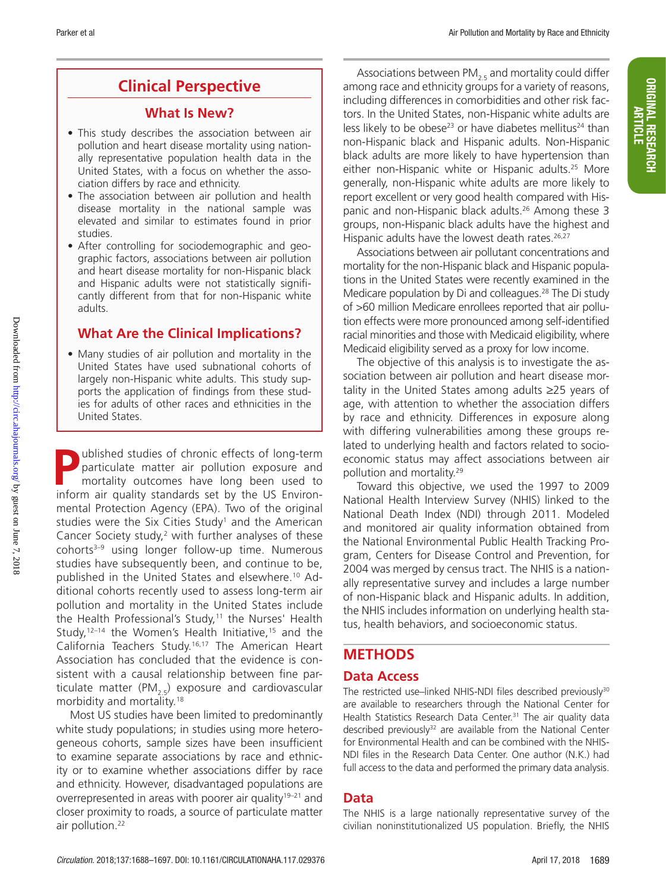## **Clinical Perspective**

### **What Is New?**

- This study describes the association between air pollution and heart disease mortality using nationally representative population health data in the United States, with a focus on whether the association differs by race and ethnicity.
- The association between air pollution and health disease mortality in the national sample was elevated and similar to estimates found in prior studies.
- After controlling for sociodemographic and geographic factors, associations between air pollution and heart disease mortality for non-Hispanic black and Hispanic adults were not statistically significantly different from that for non-Hispanic white adults.

## **What Are the Clinical Implications?**

• Many studies of air pollution and mortality in the United States have used subnational cohorts of largely non-Hispanic white adults. This study supports the application of findings from these studies for adults of other races and ethnicities in the United States.

**Published studies of chronic effects of long-term**<br>particulate matter air pollution exposure and<br>mortality outcomes have long been used to<br>inform air quality standards sot by the US Environparticulate matter air pollution exposure and mortality outcomes have long been used to inform air quality standards set by the US Environmental Protection Agency (EPA). Two of the original studies were the Six Cities Study<sup>1</sup> and the American Cancer Society study, $2$  with further analyses of these cohorts<sup>3-9</sup> using longer follow-up time. Numerous studies have subsequently been, and continue to be, published in the United States and elsewhere.10 Additional cohorts recently used to assess long-term air pollution and mortality in the United States include the Health Professional's Study,<sup>11</sup> the Nurses' Health Study,<sup>12-14</sup> the Women's Health Initiative,<sup>15</sup> and the California Teachers Study.16,17 The American Heart Association has concluded that the evidence is consistent with a causal relationship between fine particulate matter (PM<sub>2.5</sub>) exposure and cardiovascular morbidity and mortality.18

Most US studies have been limited to predominantly white study populations; in studies using more heterogeneous cohorts, sample sizes have been insufficient to examine separate associations by race and ethnicity or to examine whether associations differ by race and ethnicity. However, disadvantaged populations are overrepresented in areas with poorer air quality<sup>19–21</sup> and closer proximity to roads, a source of particulate matter air pollution.<sup>22</sup>

Associations between  $PM_{2,5}$  and mortality could differ among race and ethnicity groups for a variety of reasons, including differences in comorbidities and other risk factors. In the United States, non-Hispanic white adults are less likely to be obese<sup>23</sup> or have diabetes mellitus<sup>24</sup> than non-Hispanic black and Hispanic adults. Non-Hispanic black adults are more likely to have hypertension than either non-Hispanic white or Hispanic adults.25 More generally, non-Hispanic white adults are more likely to report excellent or very good health compared with Hispanic and non-Hispanic black adults.<sup>26</sup> Among these 3 groups, non-Hispanic black adults have the highest and Hispanic adults have the lowest death rates.<sup>26,27</sup>

Associations between air pollutant concentrations and mortality for the non-Hispanic black and Hispanic populations in the United States were recently examined in the Medicare population by Di and colleagues.<sup>28</sup> The Di study of >60 million Medicare enrollees reported that air pollution effects were more pronounced among self-identified racial minorities and those with Medicaid eligibility, where Medicaid eligibility served as a proxy for low income.

The objective of this analysis is to investigate the association between air pollution and heart disease mortality in the United States among adults ≥25 years of age, with attention to whether the association differs by race and ethnicity. Differences in exposure along with differing vulnerabilities among these groups related to underlying health and factors related to socioeconomic status may affect associations between air pollution and mortality.29

Toward this objective, we used the 1997 to 2009 National Health Interview Survey (NHIS) linked to the National Death Index (NDI) through 2011. Modeled and monitored air quality information obtained from the National Environmental Public Health Tracking Program, Centers for Disease Control and Prevention, for 2004 was merged by census tract. The NHIS is a nationally representative survey and includes a large number of non-Hispanic black and Hispanic adults. In addition, the NHIS includes information on underlying health status, health behaviors, and socioeconomic status.

## **METHODS**

## **Data Access**

The restricted use–linked NHIS-NDI files described previously<sup>30</sup> are available to researchers through the National Center for Health Statistics Research Data Center.<sup>31</sup> The air quality data described previously $32$  are available from the National Center for Environmental Health and can be combined with the NHIS-NDI files in the Research Data Center. One author (N.K.) had full access to the data and performed the primary data analysis.

## **Data**

The NHIS is a large nationally representative survey of the civilian noninstitutionalized US population. Briefly, the NHIS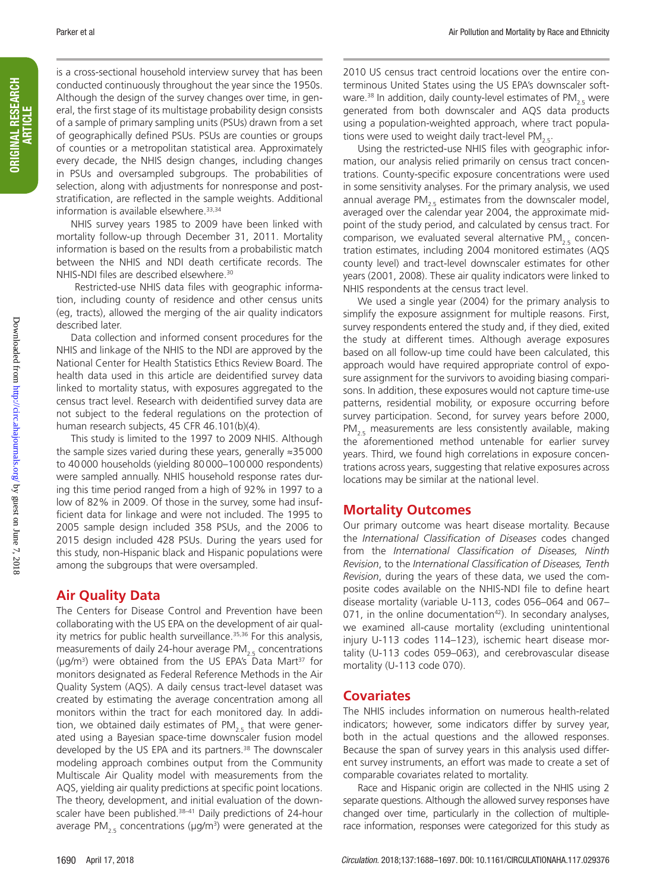is a cross-sectional household interview survey that has been conducted continuously throughout the year since the 1950s. Although the design of the survey changes over time, in general, the first stage of its multistage probability design consists of a sample of primary sampling units (PSUs) drawn from a set of geographically defined PSUs. PSUs are counties or groups of counties or a metropolitan statistical area. Approximately every decade, the NHIS design changes, including changes in PSUs and oversampled subgroups. The probabilities of selection, along with adjustments for nonresponse and poststratification, are reflected in the sample weights. Additional information is available elsewhere.<sup>33,34</sup>

NHIS survey years 1985 to 2009 have been linked with mortality follow-up through December 31, 2011. Mortality information is based on the results from a probabilistic match between the NHIS and NDI death certificate records. The NHIS-NDI files are described elsewhere.<sup>30</sup>

 Restricted-use NHIS data files with geographic information, including county of residence and other census units (eg, tracts), allowed the merging of the air quality indicators described later.

Data collection and informed consent procedures for the NHIS and linkage of the NHIS to the NDI are approved by the National Center for Health Statistics Ethics Review Board. The health data used in this article are deidentified survey data linked to mortality status, with exposures aggregated to the census tract level. Research with deidentified survey data are not subject to the federal regulations on the protection of human research subjects, 45 CFR 46.101(b)(4).

This study is limited to the 1997 to 2009 NHIS. Although the sample sizes varied during these years, generally ≈35000 to 40000 households (yielding 80000–100000 respondents) were sampled annually. NHIS household response rates during this time period ranged from a high of 92% in 1997 to a low of 82% in 2009. Of those in the survey, some had insufficient data for linkage and were not included. The 1995 to 2005 sample design included 358 PSUs, and the 2006 to 2015 design included 428 PSUs. During the years used for this study, non-Hispanic black and Hispanic populations were among the subgroups that were oversampled.

#### **Air Quality Data**

The Centers for Disease Control and Prevention have been collaborating with the US EPA on the development of air quality metrics for public health surveillance.<sup>35,36</sup> For this analysis, measurements of daily 24-hour average PM $_{2.5}$  concentrations (μg/m<sup>3</sup>) were obtained from the US EPA's Data Mart<sup>37</sup> for monitors designated as Federal Reference Methods in the Air Quality System (AQS). A daily census tract-level dataset was created by estimating the average concentration among all monitors within the tract for each monitored day. In addition, we obtained daily estimates of  $PM_{2.5}$  that were generated using a Bayesian space-time downscaler fusion model developed by the US EPA and its partners.<sup>38</sup> The downscaler modeling approach combines output from the Community Multiscale Air Quality model with measurements from the AQS, yielding air quality predictions at specific point locations. The theory, development, and initial evaluation of the downscaler have been published.<sup>38-41</sup> Daily predictions of 24-hour average PM $_{2.5}$  concentrations (µg/m<sup>3</sup>) were generated at the

2010 US census tract centroid locations over the entire conterminous United States using the US EPA's downscaler software.<sup>38</sup> In addition, daily county-level estimates of PM<sub>2.5</sub> were generated from both downscaler and AQS data products using a population-weighted approach, where tract populations were used to weight daily tract-level PM<sub>2.5</sub>.

Using the restricted-use NHIS files with geographic information, our analysis relied primarily on census tract concentrations. County-specific exposure concentrations were used in some sensitivity analyses. For the primary analysis, we used annual average  $PM_{2.5}$  estimates from the downscaler model, averaged over the calendar year 2004, the approximate midpoint of the study period, and calculated by census tract. For comparison, we evaluated several alternative PM<sub>2.5</sub> concentration estimates, including 2004 monitored estimates (AQS county level) and tract-level downscaler estimates for other years (2001, 2008). These air quality indicators were linked to NHIS respondents at the census tract level.

We used a single year (2004) for the primary analysis to simplify the exposure assignment for multiple reasons. First, survey respondents entered the study and, if they died, exited the study at different times. Although average exposures based on all follow-up time could have been calculated, this approach would have required appropriate control of exposure assignment for the survivors to avoiding biasing comparisons. In addition, these exposures would not capture time-use patterns, residential mobility, or exposure occurring before survey participation. Second, for survey years before 2000,  $PM_{25}$  measurements are less consistently available, making the aforementioned method untenable for earlier survey years. Third, we found high correlations in exposure concentrations across years, suggesting that relative exposures across locations may be similar at the national level.

#### **Mortality Outcomes**

Our primary outcome was heart disease mortality. Because the *International Classification of Diseases* codes changed from the *International Classification of Diseases, Ninth Revision*, to the *International Classification of Diseases, Tenth Revision*, during the years of these data, we used the composite codes available on the NHIS-NDI file to define heart disease mortality (variable U-113, codes 056–064 and 067– 071, in the online documentation<sup>42</sup>). In secondary analyses, we examined all-cause mortality (excluding unintentional injury U-113 codes 114–123), ischemic heart disease mortality (U-113 codes 059–063), and cerebrovascular disease mortality (U-113 code 070).

#### **Covariates**

The NHIS includes information on numerous health-related indicators; however, some indicators differ by survey year, both in the actual questions and the allowed responses. Because the span of survey years in this analysis used different survey instruments, an effort was made to create a set of comparable covariates related to mortality.

Race and Hispanic origin are collected in the NHIS using 2 separate questions. Although the allowed survey responses have changed over time, particularly in the collection of multiplerace information, responses were categorized for this study as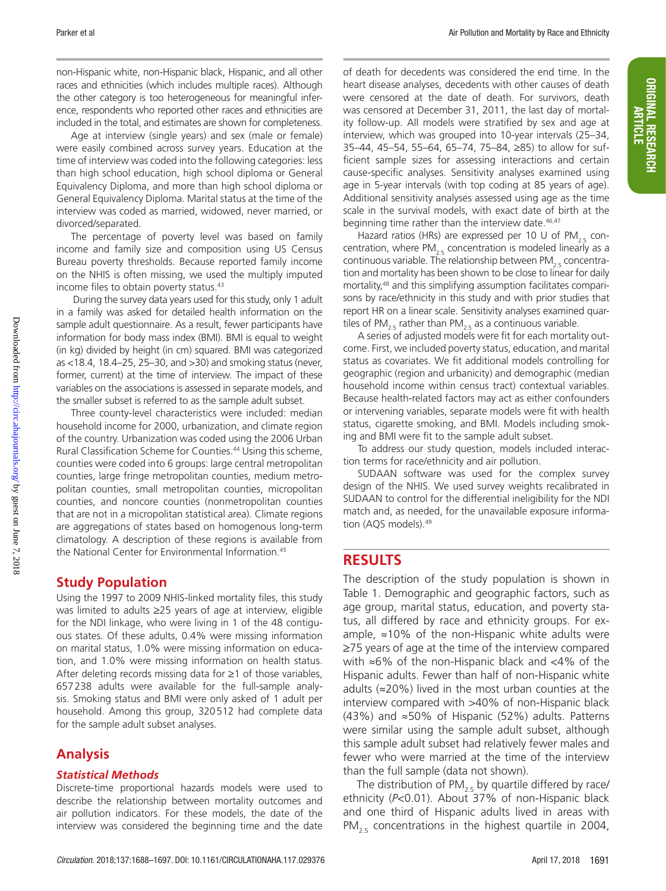non-Hispanic white, non-Hispanic black, Hispanic, and all other races and ethnicities (which includes multiple races). Although the other category is too heterogeneous for meaningful inference, respondents who reported other races and ethnicities are included in the total, and estimates are shown for completeness.

Age at interview (single years) and sex (male or female) were easily combined across survey years. Education at the time of interview was coded into the following categories: less than high school education, high school diploma or General Equivalency Diploma, and more than high school diploma or General Equivalency Diploma. Marital status at the time of the interview was coded as married, widowed, never married, or divorced/separated.

The percentage of poverty level was based on family income and family size and composition using US Census Bureau poverty thresholds. Because reported family income on the NHIS is often missing, we used the multiply imputed income files to obtain poverty status.<sup>43</sup>

 During the survey data years used for this study, only 1 adult in a family was asked for detailed health information on the sample adult questionnaire. As a result, fewer participants have information for body mass index (BMI). BMI is equal to weight (in kg) divided by height (in cm) squared. BMI was categorized as <18.4, 18.4–25, 25–30, and >30) and smoking status (never, former, current) at the time of interview. The impact of these variables on the associations is assessed in separate models, and the smaller subset is referred to as the sample adult subset.

Three county-level characteristics were included: median household income for 2000, urbanization, and climate region of the country. Urbanization was coded using the 2006 Urban Rural Classification Scheme for Counties.44 Using this scheme, counties were coded into 6 groups: large central metropolitan counties, large fringe metropolitan counties, medium metropolitan counties, small metropolitan counties, micropolitan counties, and noncore counties (nonmetropolitan counties that are not in a micropolitan statistical area). Climate regions are aggregations of states based on homogenous long-term climatology. A description of these regions is available from the National Center for Environmental Information.<sup>45</sup>

## **Study Population**

Using the 1997 to 2009 NHIS-linked mortality files, this study was limited to adults ≥25 years of age at interview, eligible for the NDI linkage, who were living in 1 of the 48 contiguous states. Of these adults, 0.4% were missing information on marital status, 1.0% were missing information on education, and 1.0% were missing information on health status. After deleting records missing data for ≥1 of those variables, 657238 adults were available for the full-sample analysis. Smoking status and BMI were only asked of 1 adult per household. Among this group, 320512 had complete data for the sample adult subset analyses.

## **Analysis**

#### *Statistical Methods*

Discrete-time proportional hazards models were used to describe the relationship between mortality outcomes and air pollution indicators. For these models, the date of the interview was considered the beginning time and the date

ORIGINAL RESEARCH ARTICLE

**ORIGINAL RESEARCH** 

of death for decedents was considered the end time. In the heart disease analyses, decedents with other causes of death were censored at the date of death. For survivors, death was censored at December 31, 2011, the last day of mortality follow-up. All models were stratified by sex and age at interview, which was grouped into 10-year intervals (25–34, 35–44, 45–54, 55–64, 65–74, 75–84, ≥85) to allow for sufficient sample sizes for assessing interactions and certain cause-specific analyses. Sensitivity analyses examined using age in 5-year intervals (with top coding at 85 years of age). Additional sensitivity analyses assessed using age as the time scale in the survival models, with exact date of birth at the beginning time rather than the interview date.<sup>46,47</sup>

Hazard ratios (HRs) are expressed per 10 U of PM<sub>2.5</sub> concentration, where  $PM_{2.5}$  concentration is modeled linearly as a continuous variable. The relationship between  $PM_{25}$  concentration and mortality has been shown to be close to linear for daily mortality,48 and this simplifying assumption facilitates comparisons by race/ethnicity in this study and with prior studies that report HR on a linear scale. Sensitivity analyses examined quartiles of PM<sub>2.5</sub> rather than PM<sub>2.5</sub> as a continuous variable.

A series of adjusted models were fit for each mortality outcome. First, we included poverty status, education, and marital status as covariates. We fit additional models controlling for geographic (region and urbanicity) and demographic (median household income within census tract) contextual variables. Because health-related factors may act as either confounders or intervening variables, separate models were fit with health status, cigarette smoking, and BMI. Models including smoking and BMI were fit to the sample adult subset.

To address our study question, models included interaction terms for race/ethnicity and air pollution.

SUDAAN software was used for the complex survey design of the NHIS. We used survey weights recalibrated in SUDAAN to control for the differential ineligibility for the NDI match and, as needed, for the unavailable exposure information (AQS models).49

### **RESULTS**

The description of the study population is shown in Table 1. Demographic and geographic factors, such as age group, marital status, education, and poverty status, all differed by race and ethnicity groups. For example, ≈10% of the non-Hispanic white adults were ≥75 years of age at the time of the interview compared with ≈6% of the non-Hispanic black and <4% of the Hispanic adults. Fewer than half of non-Hispanic white adults (≈20%) lived in the most urban counties at the interview compared with >40% of non-Hispanic black (43%) and ≈50% of Hispanic (52%) adults. Patterns were similar using the sample adult subset, although this sample adult subset had relatively fewer males and fewer who were married at the time of the interview than the full sample (data not shown).

The distribution of PM<sub>2.5</sub> by quartile differed by race/ ethnicity (*P*<0.01). About 37% of non-Hispanic black and one third of Hispanic adults lived in areas with PM<sub>25</sub> concentrations in the highest quartile in 2004,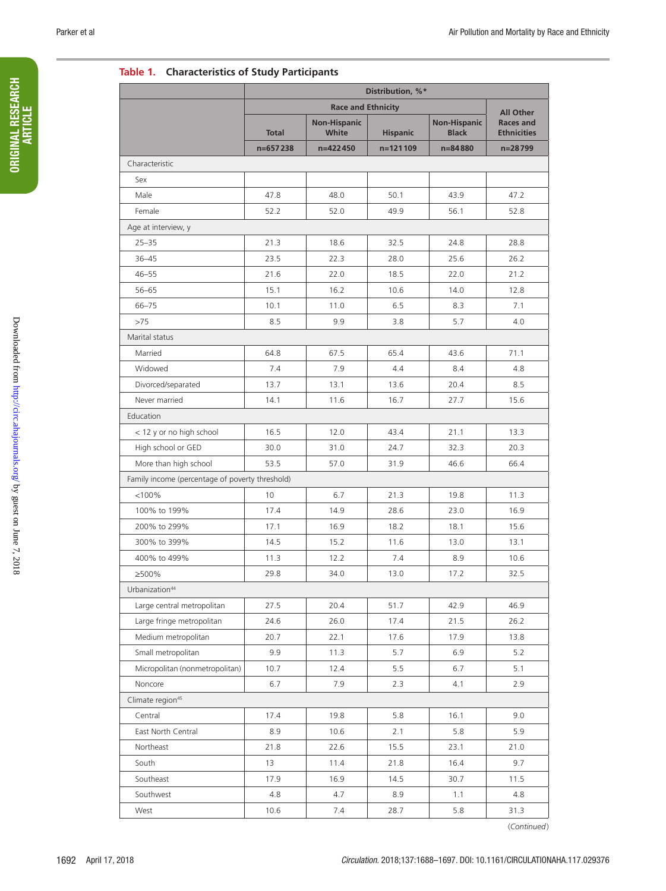#### **Table 1. Characteristics of Study Participants**

|                                                 | Distribution, %* |                              |                 |                                     |                                                            |  |  |  |  |
|-------------------------------------------------|------------------|------------------------------|-----------------|-------------------------------------|------------------------------------------------------------|--|--|--|--|
|                                                 |                  |                              |                 |                                     |                                                            |  |  |  |  |
|                                                 | <b>Total</b>     | <b>Non-Hispanic</b><br>White | <b>Hispanic</b> | <b>Non-Hispanic</b><br><b>Black</b> | <b>All Other</b><br><b>Races and</b><br><b>Ethnicities</b> |  |  |  |  |
|                                                 | $n=657238$       | n=422450                     | n=121109        | n=84880                             | n=28799                                                    |  |  |  |  |
| Characteristic                                  |                  |                              |                 |                                     |                                                            |  |  |  |  |
| Sex                                             |                  |                              |                 |                                     |                                                            |  |  |  |  |
| Male                                            | 47.8             | 48.0                         | 50.1            | 43.9                                | 47.2                                                       |  |  |  |  |
| Female                                          | 52.2             | 52.0                         | 49.9            | 56.1                                | 52.8                                                       |  |  |  |  |
| Age at interview, y                             |                  |                              |                 |                                     |                                                            |  |  |  |  |
| $25 - 35$                                       | 21.3             | 18.6                         | 32.5            | 24.8                                | 28.8                                                       |  |  |  |  |
| $36 - 45$                                       | 23.5             | 22.3                         | 28.0            | 25.6                                | 26.2                                                       |  |  |  |  |
| $46 - 55$                                       | 21.6             | 22.0                         | 18.5            | 22.0                                | 21.2                                                       |  |  |  |  |
| $56 - 65$                                       | 15.1             | 16.2                         | 10.6            | 14.0                                | 12.8                                                       |  |  |  |  |
| $66 - 75$                                       | 10.1             | 11.0                         | 6.5             | 8.3                                 | 7.1                                                        |  |  |  |  |
| >75                                             | 8.5              | 9.9                          | 3.8             | 5.7                                 | 4.0                                                        |  |  |  |  |
| Marital status                                  |                  |                              |                 |                                     |                                                            |  |  |  |  |
| Married                                         | 64.8             | 67.5                         | 65.4            | 43.6                                | 71.1                                                       |  |  |  |  |
| Widowed                                         | 7.4              | 7.9                          | 4.4             | 8.4                                 | 4.8                                                        |  |  |  |  |
| Divorced/separated                              | 13.7             | 13.1                         | 13.6            | 20.4                                | 8.5                                                        |  |  |  |  |
| Never married                                   | 14.1             | 11.6                         | 16.7            | 27.7                                | 15.6                                                       |  |  |  |  |
| Education                                       |                  |                              |                 |                                     |                                                            |  |  |  |  |
| < 12 y or no high school                        | 16.5             | 12.0                         | 43.4            | 21.1                                | 13.3                                                       |  |  |  |  |
| High school or GED                              | 30.0             | 31.0                         | 24.7            | 32.3                                | 20.3                                                       |  |  |  |  |
| More than high school                           | 53.5             | 57.0                         | 31.9            | 46.6                                | 66.4                                                       |  |  |  |  |
| Family income (percentage of poverty threshold) |                  |                              |                 |                                     |                                                            |  |  |  |  |
| < 100%                                          | 10               | 6.7                          | 21.3            | 19.8                                | 11.3                                                       |  |  |  |  |
| 100% to 199%                                    | 17.4             | 14.9                         | 28.6            | 23.0                                | 16.9                                                       |  |  |  |  |
| 200% to 299%                                    | 17.1             | 16.9                         | 18.2            | 18.1                                | 15.6                                                       |  |  |  |  |
| 300% to 399%                                    | 14.5             | 15.2                         | 11.6            | 13.0                                | 13.1                                                       |  |  |  |  |
| 400% to 499%                                    | 11.3             | 12.2                         | 7.4             | 8.9                                 | 10.6                                                       |  |  |  |  |
| ≥500%                                           | 29.8             | 34.0                         | 13.0            | 17.2                                | 32.5                                                       |  |  |  |  |
| Urbanization <sup>44</sup>                      |                  |                              |                 |                                     |                                                            |  |  |  |  |
| Large central metropolitan                      | 27.5             | 20.4                         | 51.7            | 42.9                                | 46.9                                                       |  |  |  |  |
| Large fringe metropolitan                       | 24.6             | 26.0                         | 17.4            | 21.5                                | 26.2                                                       |  |  |  |  |
| Medium metropolitan                             | 20.7             | 22.1                         | 17.6            | 17.9                                | 13.8                                                       |  |  |  |  |
| Small metropolitan                              | 9.9              | 11.3                         | 5.7             | 6.9                                 | 5.2                                                        |  |  |  |  |
| Micropolitan (nonmetropolitan)                  | 10.7             | 12.4                         | 5.5             | 6.7                                 | 5.1                                                        |  |  |  |  |
| Noncore                                         | 6.7              | 7.9                          | 2.3             | 4.1                                 | 2.9                                                        |  |  |  |  |
| Climate region <sup>45</sup>                    |                  |                              |                 |                                     |                                                            |  |  |  |  |
| Central                                         | 17.4             | 19.8                         | 5.8             | 16.1                                | 9.0                                                        |  |  |  |  |
| East North Central                              | 8.9              | 10.6                         | 2.1             | 5.8                                 | 5.9                                                        |  |  |  |  |
| Northeast                                       | 21.8             | 22.6                         | 15.5            | 23.1                                | 21.0                                                       |  |  |  |  |
| South                                           | 13               | 11.4                         | 21.8            | 16.4                                | 9.7                                                        |  |  |  |  |
| Southeast                                       | 17.9             | 16.9                         | 14.5            | 30.7                                | 11.5                                                       |  |  |  |  |
| Southwest                                       | 4.8              | 4.7                          | 8.9             | 1.1                                 | 4.8                                                        |  |  |  |  |
| West                                            | 10.6             | 7.4                          | 28.7            | 5.8                                 | 31.3                                                       |  |  |  |  |
|                                                 |                  |                              |                 |                                     |                                                            |  |  |  |  |

(*Continued*)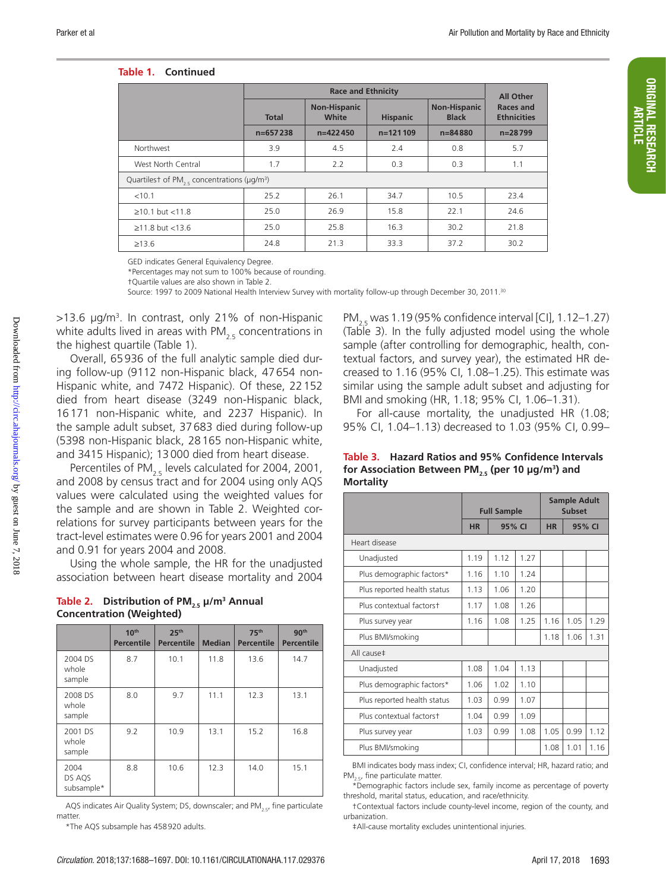#### **Table 1. Continued**

|                                                                          | <b>Race and Ethnicity</b>                                       |            |            |                                     |                                 |  |  |  |
|--------------------------------------------------------------------------|-----------------------------------------------------------------|------------|------------|-------------------------------------|---------------------------------|--|--|--|
|                                                                          | <b>Non-Hispanic</b><br>White<br><b>Hispanic</b><br><b>Total</b> |            |            | <b>Non-Hispanic</b><br><b>Black</b> | Races and<br><b>Ethnicities</b> |  |  |  |
|                                                                          | $n=657238$                                                      | $n=422450$ | $n=121109$ | $n = 84880$                         | $n = 28799$                     |  |  |  |
| Northwest                                                                | 3.9                                                             | 4.5        | 2.4        | 0.8                                 | 5.7                             |  |  |  |
| West North Central                                                       | 1.7                                                             | 2.2        | 0.3        | 0.3                                 | 1.1                             |  |  |  |
| Quartilest of PM <sub>25</sub> concentrations ( $\mu$ g/m <sup>3</sup> ) |                                                                 |            |            |                                     |                                 |  |  |  |
| < 10.1                                                                   | 25.2                                                            | 26.1       | 34.7       | 10.5                                | 23.4                            |  |  |  |
| $\geq 10.1$ but < 11.8                                                   | 25.0                                                            | 26.9       | 15.8       | 22.1                                | 24.6                            |  |  |  |
| $≥11.8$ but <13.6                                                        | 25.0                                                            | 25.8       | 16.3       | 30.2                                | 21.8                            |  |  |  |
| $\geq 13.6$                                                              | 24.8                                                            | 21.3       | 33.3       | 37.2                                | 30.2                            |  |  |  |

GED indicates General Equivalency Degree.

\*Percentages may not sum to 100% because of rounding.

†Quartile values are also shown in Table 2.

Source: 1997 to 2009 National Health Interview Survey with mortality follow-up through December 30, 2011.<sup>30</sup>

>13.6 µg/m3 . In contrast, only 21% of non-Hispanic white adults lived in areas with  $PM_{25}$  concentrations in the highest quartile (Table 1).

Overall, 65936 of the full analytic sample died during follow-up (9112 non-Hispanic black, 47654 non-Hispanic white, and 7472 Hispanic). Of these, 22152 died from heart disease (3249 non-Hispanic black, 16171 non-Hispanic white, and 2237 Hispanic). In the sample adult subset, 37683 died during follow-up (5398 non-Hispanic black, 28165 non-Hispanic white, and 3415 Hispanic); 13000 died from heart disease.

Percentiles of  $PM<sub>2.5</sub>$  levels calculated for 2004, 2001, and 2008 by census tract and for 2004 using only AQS values were calculated using the weighted values for the sample and are shown in Table 2. Weighted correlations for survey participants between years for the tract-level estimates were 0.96 for years 2001 and 2004 and 0.91 for years 2004 and 2008.

Using the whole sample, the HR for the unadjusted association between heart disease mortality and 2004

| Table 2. Distribution of PM <sub>25</sub> $\mu/m^3$ Annual |
|------------------------------------------------------------|
| <b>Concentration (Weighted)</b>                            |

|                              | 10 <sup>th</sup><br>Percentile | 25 <sup>th</sup><br>Percentile | 75 <sup>th</sup><br><b>Median</b><br><b>Percentile</b> |              | 90 <sup>th</sup><br><b>Percentile</b> |
|------------------------------|--------------------------------|--------------------------------|--------------------------------------------------------|--------------|---------------------------------------|
| 2004 DS<br>whole<br>sample   | 8.7                            | 10.1                           | 11.8                                                   | 13.6         | 14.7                                  |
| 2008 DS<br>whole<br>sample   | 8.0                            | 9.7                            | 11.1                                                   | 12.3<br>13.1 |                                       |
| 2001 DS<br>whole<br>sample   | 9.2                            | 10.9                           | 13.1                                                   | 15.2         | 16.8                                  |
| 2004<br>DS AQS<br>subsample* | 8.8                            | 10.6                           | 12.3                                                   | 14.0         | 15.1                                  |

AQS indicates Air Quality System; DS, downscaler; and PM $_{2.5}$ , fine particulate matter.

\*The AQS subsample has 458920 adults.

PM<sub>2.5</sub> was 1.19 (95% confidence interval [CI], 1.12–1.27) (Table 3). In the fully adjusted model using the whole sample (after controlling for demographic, health, contextual factors, and survey year), the estimated HR decreased to 1.16 (95% CI, 1.08–1.25). This estimate was similar using the sample adult subset and adjusting for BMI and smoking (HR, 1.18; 95% CI, 1.06–1.31).

For all-cause mortality, the unadjusted HR (1.08; 95% CI, 1.04–1.13) decreased to 1.03 (95% CI, 0.99–

|                  | Table 3. Hazard Ratios and 95% Confidence Intervals                      |
|------------------|--------------------------------------------------------------------------|
|                  | for Association Between PM <sub>25</sub> (per 10 µg/m <sup>3</sup> ) and |
| <b>Mortality</b> |                                                                          |

|                             | <b>Full Sample</b> |        | <b>Sample Adult</b><br><b>Subset</b> |           |      |        |  |
|-----------------------------|--------------------|--------|--------------------------------------|-----------|------|--------|--|
|                             | <b>HR</b>          | 95% CI |                                      | <b>HR</b> |      | 95% CI |  |
| Heart disease               |                    |        |                                      |           |      |        |  |
| Unadjusted                  | 1.19               | 1.12   | 1.27                                 |           |      |        |  |
| Plus demographic factors*   | 1.16               | 1.10   | 1.24                                 |           |      |        |  |
| Plus reported health status | 1.13               | 1.06   | 1.20                                 |           |      |        |  |
| Plus contextual factorst    | 1.17               | 1.08   | 1.26                                 |           |      |        |  |
| Plus survey year            | 1.16               | 1.08   | 1.25                                 | 1.16      | 1.05 | 1.29   |  |
| Plus BMI/smoking            |                    |        |                                      | 1.18      | 1.06 | 1.31   |  |
| All cause‡                  |                    |        |                                      |           |      |        |  |
| Unadjusted                  | 1.08               | 1.04   | 1.13                                 |           |      |        |  |
| Plus demographic factors*   | 1.06               | 1.02   | 1.10                                 |           |      |        |  |
| Plus reported health status | 1.03               | 0.99   | 1.07                                 |           |      |        |  |
| Plus contextual factorst    | 1.04               | 0.99   | 1.09                                 |           |      |        |  |
| Plus survey year            | 1.03               | 0.99   | 1.08                                 | 1.05      | 0.99 | 1.12   |  |
| Plus BMI/smoking            |                    |        |                                      | 1.08      | 1.01 | 1.16   |  |

BMI indicates body mass index; CI, confidence interval; HR, hazard ratio; and PM<sub>2.5</sub>, fine particulate matter.

\*Demographic factors include sex, family income as percentage of poverty threshold, marital status, education, and race/ethnicity.

†Contextual factors include county-level income, region of the county, and urbanization.

‡All-cause mortality excludes unintentional injuries.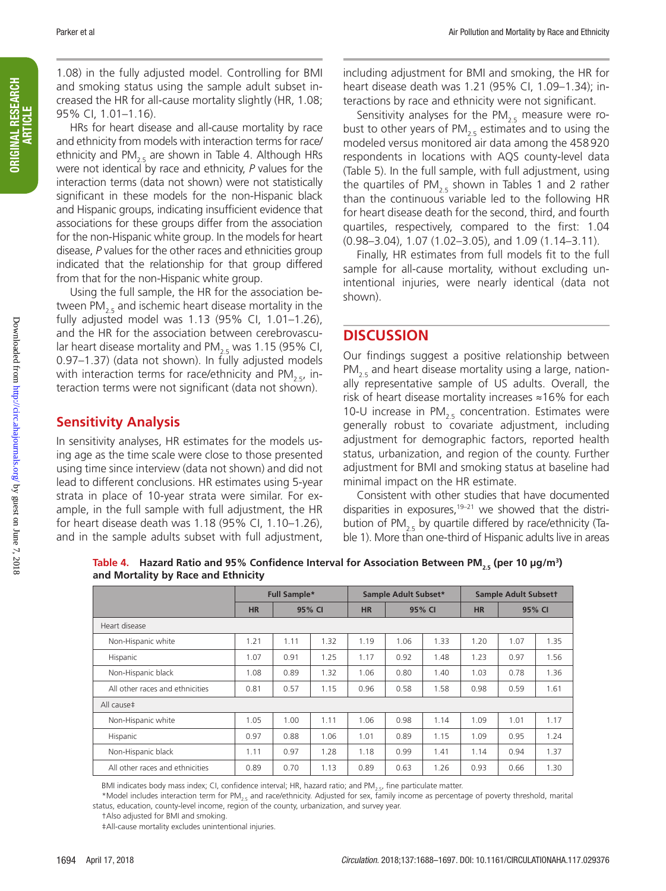1.08) in the fully adjusted model. Controlling for BMI and smoking status using the sample adult subset increased the HR for all-cause mortality slightly (HR, 1.08; 95% CI, 1.01–1.16).

HRs for heart disease and all-cause mortality by race and ethnicity from models with interaction terms for race/ ethnicity and PM<sub>2.5</sub> are shown in Table 4. Although HRs were not identical by race and ethnicity, *P* values for the interaction terms (data not shown) were not statistically significant in these models for the non-Hispanic black and Hispanic groups, indicating insufficient evidence that associations for these groups differ from the association for the non-Hispanic white group. In the models for heart disease, *P* values for the other races and ethnicities group indicated that the relationship for that group differed from that for the non-Hispanic white group.

Using the full sample, the HR for the association between PM<sub>2.5</sub> and ischemic heart disease mortality in the fully adjusted model was 1.13 (95% CI, 1.01–1.26), and the HR for the association between cerebrovascular heart disease mortality and PM<sub>2.5</sub> was 1.15 (95% CI, 0.97–1.37) (data not shown). In fully adjusted models with interaction terms for race/ethnicity and PM<sub>2.5</sub>, interaction terms were not significant (data not shown).

## **Sensitivity Analysis**

In sensitivity analyses, HR estimates for the models using age as the time scale were close to those presented using time since interview (data not shown) and did not lead to different conclusions. HR estimates using 5-year strata in place of 10-year strata were similar. For example, in the full sample with full adjustment, the HR for heart disease death was 1.18 (95% CI, 1.10–1.26), and in the sample adults subset with full adjustment,

including adjustment for BMI and smoking, the HR for heart disease death was 1.21 (95% CI, 1.09–1.34); interactions by race and ethnicity were not significant.

Sensitivity analyses for the PM $_{2.5}$  measure were robust to other years of PM<sub>2.5</sub> estimates and to using the modeled versus monitored air data among the 458920 respondents in locations with AQS county-level data (Table 5). In the full sample, with full adjustment, using the quartiles of PM<sub>2.5</sub> shown in Tables 1 and 2 rather than the continuous variable led to the following HR for heart disease death for the second, third, and fourth quartiles, respectively, compared to the first: 1.04 (0.98–3.04), 1.07 (1.02–3.05), and 1.09 (1.14–3.11).

Finally, HR estimates from full models fit to the full sample for all-cause mortality, without excluding unintentional injuries, were nearly identical (data not shown).

## **DISCUSSION**

Our findings suggest a positive relationship between  $PM_{25}$  and heart disease mortality using a large, nationally representative sample of US adults. Overall, the risk of heart disease mortality increases ≈16% for each 10-U increase in PM<sub>2.5</sub> concentration. Estimates were generally robust to covariate adjustment, including adjustment for demographic factors, reported health status, urbanization, and region of the county. Further adjustment for BMI and smoking status at baseline had minimal impact on the HR estimate.

Consistent with other studies that have documented disparities in exposures, $19-21$  we showed that the distribution of PM<sub>2.5</sub> by quartile differed by race/ethnicity (Table 1). More than one-third of Hispanic adults live in areas

|                                 | <b>Full Sample*</b> |      | Sample Adult Subset* |                     |      | <b>Sample Adult Subsett</b> |        |      |      |
|---------------------------------|---------------------|------|----------------------|---------------------|------|-----------------------------|--------|------|------|
|                                 | <b>HR</b>           |      | 95% CI               | <b>HR</b><br>95% CI |      | <b>HR</b>                   | 95% CI |      |      |
| Heart disease                   |                     |      |                      |                     |      |                             |        |      |      |
| Non-Hispanic white              | 1.21                | 1.11 | 1.32                 | 1.19                | 1.06 | 1.33                        | 1.20   | 1.07 | 1.35 |
| Hispanic                        | 1.07                | 0.91 | 1.25                 | 1.17                | 0.92 | 1.48                        | 1.23   | 0.97 | 1.56 |
| Non-Hispanic black              | 1.08                | 0.89 | 1.32                 | 1.06                | 0.80 | 1.40                        | 1.03   | 0.78 | 1.36 |
| All other races and ethnicities | 0.81                | 0.57 | 1.15                 | 0.96                | 0.58 | 1.58                        | 0.98   | 0.59 | 1.61 |
| All cause‡                      |                     |      |                      |                     |      |                             |        |      |      |
| Non-Hispanic white              | 1.05                | 1.00 | 1.11                 | 1.06                | 0.98 | 1.14                        | 1.09   | 1.01 | 1.17 |
| Hispanic                        | 0.97                | 0.88 | 1.06                 | 1.01                | 0.89 | 1.15                        | 1.09   | 0.95 | 1.24 |
| Non-Hispanic black              | 1.11                | 0.97 | 1.28                 | 1.18                | 0.99 | 1.41                        | 1.14   | 0.94 | 1.37 |
| All other races and ethnicities | 0.89                | 0.70 | 1.13                 | 0.89                | 0.63 | 1.26                        | 0.93   | 0.66 | 1.30 |

Table 4. Hazard Ratio and 95% Confidence Interval for Association Between PM<sub>2.5</sub> (per 10 µg/m<sup>3</sup>) **and Mortality by Race and Ethnicity**

BMI indicates body mass index; CI, confidence interval; HR, hazard ratio; and PM<sub>25</sub>, fine particulate matter.

\*Model includes interaction term for PM<sub>2.5</sub> and race/ethnicity. Adjusted for sex, family income as percentage of poverty threshold, marital status, education, county-level income, region of the county, urbanization, and survey year.

†Also adjusted for BMI and smoking.

‡All-cause mortality excludes unintentional injuries.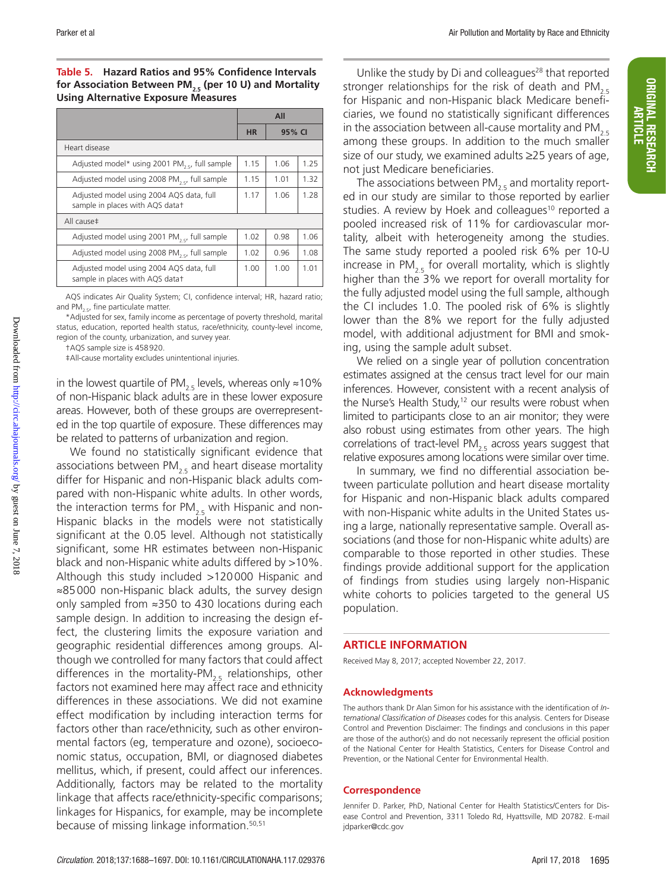**Table 5. Hazard Ratios and 95% Confidence Intervals**  for Association Between PM<sub>2.5</sub> (per 10 U) and Mortality **Using Alternative Exposure Measures**

|                                                                             | All<br><b>HR</b><br>95% CI |      |      |
|-----------------------------------------------------------------------------|----------------------------|------|------|
|                                                                             |                            |      |      |
| Heart disease                                                               |                            |      |      |
| Adjusted model* using 2001 PM <sub>3 er</sub> full sample                   | 1.15                       | 1.06 | 1.25 |
| Adjusted model using 2008 PM <sub>25</sub> , full sample                    | 1.15                       | 1.01 | 1.32 |
| Adjusted model using 2004 AQS data, full<br>sample in places with AQS datat | 1.17                       | 1.06 | 1.28 |
| All cause‡                                                                  |                            |      |      |
| Adjusted model using 2001 PM <sub>3 c</sub> , full sample                   | 1.02                       | 0.98 | 1.06 |
| Adjusted model using 2008 PM <sub>25</sub> , full sample                    |                            | 0.96 | 1.08 |
| Adjusted model using 2004 AQS data, full<br>sample in places with AQS datat | 1.00                       | 1.00 | 1.01 |

AQS indicates Air Quality System; CI, confidence interval; HR, hazard ratio; and  $PM_{2.5}$ , fine particulate matter.

\*Adjusted for sex, family income as percentage of poverty threshold, marital status, education, reported health status, race/ethnicity, county-level income, region of the county, urbanization, and survey year.

†AQS sample size is 458920.

‡All-cause mortality excludes unintentional injuries.

in the lowest quartile of PM<sub>2.5</sub> levels, whereas only ≈10% of non-Hispanic black adults are in these lower exposure areas. However, both of these groups are overrepresented in the top quartile of exposure. These differences may be related to patterns of urbanization and region.

We found no statistically significant evidence that associations between PM<sub>2.5</sub> and heart disease mortality differ for Hispanic and non-Hispanic black adults compared with non-Hispanic white adults. In other words, the interaction terms for  $PM_{2.5}$  with Hispanic and non-Hispanic blacks in the models were not statistically significant at the 0.05 level. Although not statistically significant, some HR estimates between non-Hispanic black and non-Hispanic white adults differed by >10%. Although this study included >120000 Hispanic and ≈85000 non-Hispanic black adults, the survey design only sampled from ≈350 to 430 locations during each sample design. In addition to increasing the design effect, the clustering limits the exposure variation and geographic residential differences among groups. Although we controlled for many factors that could affect differences in the mortality-PM<sub>2.5</sub> relationships, other factors not examined here may affect race and ethnicity differences in these associations. We did not examine effect modification by including interaction terms for factors other than race/ethnicity, such as other environmental factors (eg, temperature and ozone), socioeconomic status, occupation, BMI, or diagnosed diabetes mellitus, which, if present, could affect our inferences. Additionally, factors may be related to the mortality linkage that affects race/ethnicity-specific comparisons; linkages for Hispanics, for example, may be incomplete because of missing linkage information.50,51

Unlike the study by Di and colleagues<sup>28</sup> that reported stronger relationships for the risk of death and PM<sub>2.5</sub> for Hispanic and non-Hispanic black Medicare beneficiaries, we found no statistically significant differences in the association between all-cause mortality and PM<sub>2.5</sub> among these groups. In addition to the much smaller size of our study, we examined adults ≥25 years of age, not just Medicare beneficiaries.

The associations between  $PM_{2.5}$  and mortality reported in our study are similar to those reported by earlier studies. A review by Hoek and colleagues<sup>10</sup> reported a pooled increased risk of 11% for cardiovascular mortality, albeit with heterogeneity among the studies. The same study reported a pooled risk 6% per 10-U increase in  $PM<sub>2.5</sub>$  for overall mortality, which is slightly higher than the 3% we report for overall mortality for the fully adjusted model using the full sample, although the CI includes 1.0. The pooled risk of 6% is slightly lower than the 8% we report for the fully adjusted model, with additional adjustment for BMI and smoking, using the sample adult subset.

We relied on a single year of pollution concentration estimates assigned at the census tract level for our main inferences. However, consistent with a recent analysis of the Nurse's Health Study,<sup>12</sup> our results were robust when limited to participants close to an air monitor; they were also robust using estimates from other years. The high correlations of tract-level PM<sub>2.5</sub> across years suggest that relative exposures among locations were similar over time.

In summary, we find no differential association between particulate pollution and heart disease mortality for Hispanic and non-Hispanic black adults compared with non-Hispanic white adults in the United States using a large, nationally representative sample. Overall associations (and those for non-Hispanic white adults) are comparable to those reported in other studies. These findings provide additional support for the application of findings from studies using largely non-Hispanic white cohorts to policies targeted to the general US population.

#### **ARTICLE INFORMATION**

Received May 8, 2017; accepted November 22, 2017.

#### **Acknowledgments**

The authors thank Dr Alan Simon for his assistance with the identification of *International Classification of Diseases* codes for this analysis. Centers for Disease Control and Prevention Disclaimer: The findings and conclusions in this paper are those of the author(s) and do not necessarily represent the official position of the National Center for Health Statistics, Centers for Disease Control and Prevention, or the National Center for Environmental Health.

#### **Correspondence**

Jennifer D. Parker, PhD, National Center for Health Statistics/Centers for Disease Control and Prevention, 3311 Toledo Rd, Hyattsville, MD 20782. E-mail [jdparker@cdc.gov](mailto:﻿jdparker@cdc.gov﻿)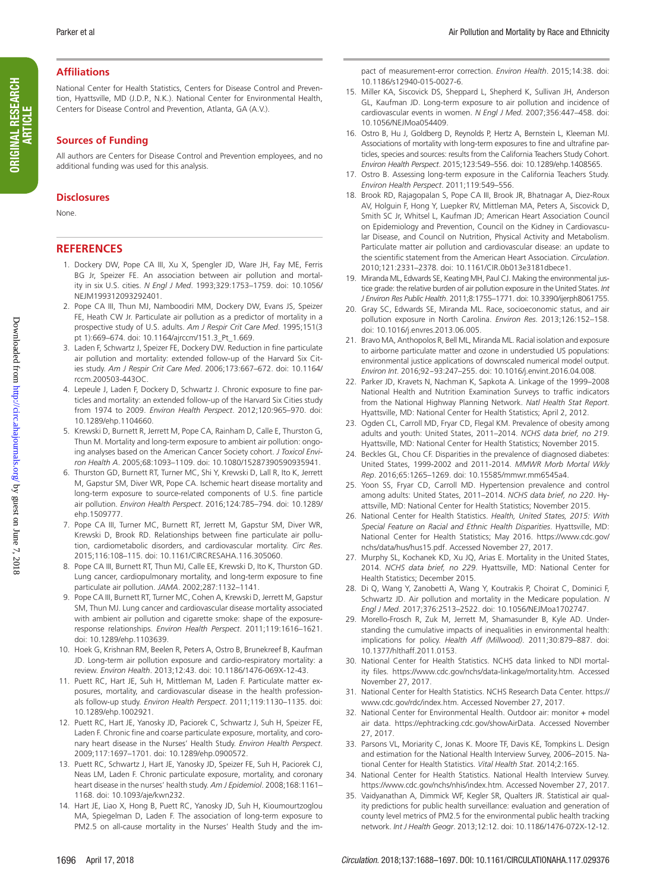#### **Affiliations**

National Center for Health Statistics, Centers for Disease Control and Prevention, Hyattsville, MD (J.D.P., N.K.). National Center for Environmental Health, Centers for Disease Control and Prevention, Atlanta, GA (A.V.).

#### **Sources of Funding**

All authors are Centers for Disease Control and Prevention employees, and no additional funding was used for this analysis.

#### **Disclosures**

None.

#### **REFERENCES**

- 1. Dockery DW, Pope CA III, Xu X, Spengler JD, Ware JH, Fay ME, Ferris BG Jr, Speizer FE. An association between air pollution and mortality in six U.S. cities. *N Engl J Med*. 1993;329:1753–1759. doi: 10.1056/ NEJM199312093292401.
- 2. Pope CA III, Thun MJ, Namboodiri MM, Dockery DW, Evans JS, Speizer FE, Heath CW Jr. Particulate air pollution as a predictor of mortality in a prospective study of U.S. adults. *Am J Respir Crit Care Med*. 1995;151(3 pt 1):669–674. doi: 10.1164/ajrccm/151.3\_Pt\_1.669.
- 3. Laden F, Schwartz J, Speizer FE, Dockery DW. Reduction in fine particulate air pollution and mortality: extended follow-up of the Harvard Six Cities study. *Am J Respir Crit Care Med*. 2006;173:667–672. doi: 10.1164/ rccm.200503-443OC.
- 4. Lepeule J, Laden F, Dockery D, Schwartz J. Chronic exposure to fine particles and mortality: an extended follow-up of the Harvard Six Cities study from 1974 to 2009. *Environ Health Perspect*. 2012;120:965–970. doi: 10.1289/ehp.1104660.
- 5. Krewski D, Burnett R, Jerrett M, Pope CA, Rainham D, Calle E, Thurston G, Thun M. Mortality and long-term exposure to ambient air pollution: ongoing analyses based on the American Cancer Society cohort. *J Toxicol Environ Health A*. 2005;68:1093–1109. doi: 10.1080/15287390590935941.
- 6. Thurston GD, Burnett RT, Turner MC, Shi Y, Krewski D, Lall R, Ito K, Jerrett M, Gapstur SM, Diver WR, Pope CA. Ischemic heart disease mortality and long-term exposure to source-related components of U.S. fine particle air pollution. *Environ Health Perspect*. 2016;124:785–794. doi: 10.1289/ ehp.1509777.
- 7. Pope CA III, Turner MC, Burnett RT, Jerrett M, Gapstur SM, Diver WR, Krewski D, Brook RD. Relationships between fine particulate air pollution, cardiometabolic disorders, and cardiovascular mortality. *Circ Res*. 2015;116:108–115. doi: 10.1161/CIRCRESAHA.116.305060.
- 8. Pope CA III, Burnett RT, Thun MJ, Calle EE, Krewski D, Ito K, Thurston GD. Lung cancer, cardiopulmonary mortality, and long-term exposure to fine particulate air pollution. *JAMA*. 2002;287:1132–1141.
- 9. Pope CA III, Burnett RT, Turner MC, Cohen A, Krewski D, Jerrett M, Gapstur SM, Thun MJ. Lung cancer and cardiovascular disease mortality associated with ambient air pollution and cigarette smoke: shape of the exposureresponse relationships. *Environ Health Perspect*. 2011;119:1616–1621. doi: 10.1289/ehp.1103639.
- 10. Hoek G, Krishnan RM, Beelen R, Peters A, Ostro B, Brunekreef B, Kaufman JD. Long-term air pollution exposure and cardio-respiratory mortality: a review. *Environ Health*. 2013;12:43. doi: 10.1186/1476-069X-12-43.
- 11. Puett RC, Hart JE, Suh H, Mittleman M, Laden F. Particulate matter exposures, mortality, and cardiovascular disease in the health professionals follow-up study. *Environ Health Perspect*. 2011;119:1130–1135. doi: 10.1289/ehp.1002921.
- 12. Puett RC, Hart JE, Yanosky JD, Paciorek C, Schwartz J, Suh H, Speizer FE, Laden F. Chronic fine and coarse particulate exposure, mortality, and coronary heart disease in the Nurses' Health Study. *Environ Health Perspect*. 2009;117:1697–1701. doi: 10.1289/ehp.0900572.
- 13. Puett RC, Schwartz J, Hart JE, Yanosky JD, Speizer FE, Suh H, Paciorek CJ, Neas LM, Laden F. Chronic particulate exposure, mortality, and coronary heart disease in the nurses' health study. *Am J Epidemiol*. 2008;168:1161– 1168. doi: 10.1093/aje/kwn232.
- 14. Hart JE, Liao X, Hong B, Puett RC, Yanosky JD, Suh H, Kioumourtzoglou MA, Spiegelman D, Laden F. The association of long-term exposure to PM2.5 on all-cause mortality in the Nurses' Health Study and the im-

pact of measurement-error correction. *Environ Health*. 2015;14:38. doi: 10.1186/s12940-015-0027-6.

- 15. Miller KA, Siscovick DS, Sheppard L, Shepherd K, Sullivan JH, Anderson GL, Kaufman JD. Long-term exposure to air pollution and incidence of cardiovascular events in women. *N Engl J Med*. 2007;356:447–458. doi: 10.1056/NEJMoa054409.
- 16. Ostro B, Hu J, Goldberg D, Reynolds P, Hertz A, Bernstein L, Kleeman MJ. Associations of mortality with long-term exposures to fine and ultrafine particles, species and sources: results from the California Teachers Study Cohort. *Environ Health Perspect*. 2015;123:549–556. doi: 10.1289/ehp.1408565.
- 17. Ostro B. Assessing long-term exposure in the California Teachers Study. *Environ Health Perspect*. 2011;119:549–556.
- 18. Brook RD, Rajagopalan S, Pope CA III, Brook JR, Bhatnagar A, Diez-Roux AV, Holguin F, Hong Y, Luepker RV, Mittleman MA, Peters A, Siscovick D, Smith SC Jr, Whitsel L, Kaufman JD; American Heart Association Council on Epidemiology and Prevention, Council on the Kidney in Cardiovascular Disease, and Council on Nutrition, Physical Activity and Metabolism. Particulate matter air pollution and cardiovascular disease: an update to the scientific statement from the American Heart Association. *Circulation*. 2010;121:2331–2378. doi: 10.1161/CIR.0b013e3181dbece1.
- 19. Miranda ML, Edwards SE, Keating MH, Paul CJ. Making the environmental justice grade: the relative burden of air pollution exposure in the United States. *Int J Environ Res Public Health*. 2011;8:1755–1771. doi: 10.3390/ijerph8061755.
- 20. Gray SC, Edwards SE, Miranda ML. Race, socioeconomic status, and air pollution exposure in North Carolina. *Environ Res*. 2013;126:152–158. doi: 10.1016/j.envres.2013.06.005.
- 21. Bravo MA, Anthopolos R, Bell ML, Miranda ML. Racial isolation and exposure to airborne particulate matter and ozone in understudied US populations: environmental justice applications of downscaled numerical model output. *Environ Int*. 2016;92‒93:247–255. doi: 10.1016/j.envint.2016.04.008.
- 22. Parker JD, Kravets N, Nachman K, Sapkota A. Linkage of the 1999–2008 National Health and Nutrition Examination Surveys to traffic indicators from the National Highway Planning Network. *Natl Health Stat Report*. Hyattsville, MD: National Center for Health Statistics; April 2, 2012.
- 23. Ogden CL, Carroll MD, Fryar CD, Flegal KM. Prevalence of obesity among adults and youth: United States, 2011–2014. *NCHS data brief, no 219*. Hyattsville, MD: National Center for Health Statistics; November 2015.
- 24. Beckles GL, Chou CF. Disparities in the prevalence of diagnosed diabetes: United States, 1999-2002 and 2011-2014. *MMWR Morb Mortal Wkly Rep*. 2016;65:1265–1269. doi: 10.15585/mmwr.mm6545a4.
- 25. Yoon SS, Fryar CD, Carroll MD. Hypertension prevalence and control among adults: United States, 2011–2014. *NCHS data brief, no 220*. Hyattsville, MD: National Center for Health Statistics; November 2015.
- 26. National Center for Health Statistics. *Health, United States, 2015: With Special Feature on Racial and Ethnic Health Disparities*. Hyattsville, MD: National Center for Health Statistics; May 2016. https://www.cdc.gov/ nchs/data/hus/hus15.pdf. Accessed November 27, 2017.
- 27. Murphy SL, Kochanek KD, Xu JQ, Arias E. Mortality in the United States, 2014. *NCHS data brief, no 229*. Hyattsville, MD: National Center for Health Statistics; December 2015.
- 28. Di Q, Wang Y, Zanobetti A, Wang Y, Koutrakis P, Choirat C, Dominici F, Schwartz JD. Air pollution and mortality in the Medicare population. *N Engl J Med*. 2017;376:2513–2522. doi: 10.1056/NEJMoa1702747.
- 29. Morello-Frosch R, Zuk M, Jerrett M, Shamasunder B, Kyle AD. Understanding the cumulative impacts of inequalities in environmental health: implications for policy. *Health Aff (Millwood)*. 2011;30:879–887. doi: 10.1377/hlthaff.2011.0153.
- 30. National Center for Health Statistics. NCHS data linked to NDI mortality files. https://www.cdc.gov/nchs/data-linkage/mortality.htm. Accessed November 27, 2017.
- 31. National Center for Health Statistics. NCHS Research Data Center. https:// www.cdc.gov/rdc/index.htm. Accessed November 27, 2017.
- 32. National Center for Environmental Health. Outdoor air: monitor + model air data. https://ephtracking.cdc.gov/showAirData. Accessed November 27, 2017.
- 33. Parsons VL, Moriarity C, Jonas K. Moore TF, Davis KE, Tompkins L. Design and estimation for the National Health Interview Survey, 2006–2015. National Center for Health Statistics. *Vital Health Stat.* 2014;2:165.
- 34. National Center for Health Statistics. National Health Interview Survey. https://www.cdc.gov/nchs/nhis/index.htm. Accessed November 27, 2017.
- 35. Vaidyanathan A, Dimmick WF, Kegler SR, Qualters JR. Statistical air quality predictions for public health surveillance: evaluation and generation of county level metrics of PM2.5 for the environmental public health tracking network. *Int J Health Geogr*. 2013;12:12. doi: 10.1186/1476-072X-12-12.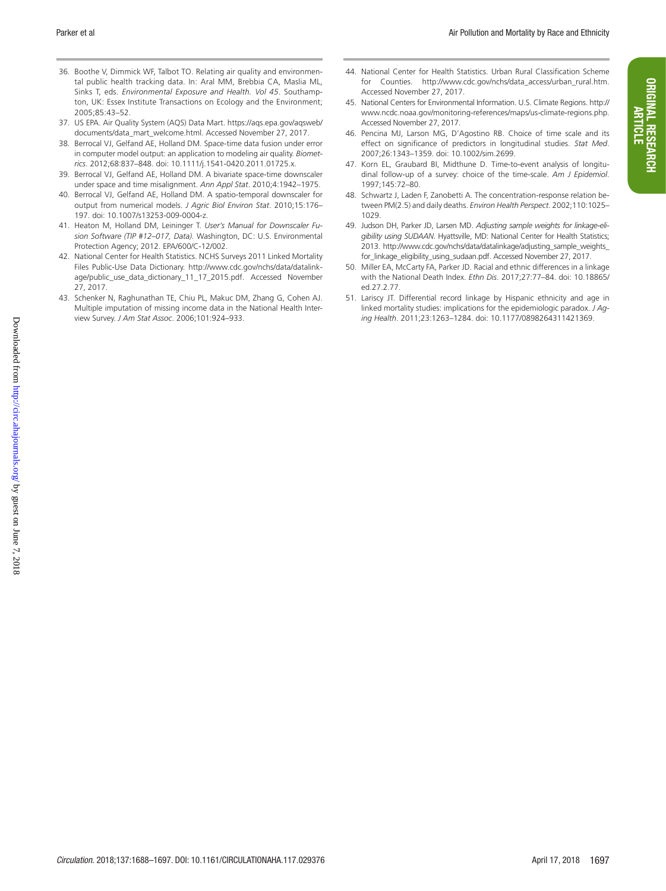ORIGINAL RESEARCH ARTICLE

**ORIGINAL RESEARCH** 

- 36. Boothe V, Dimmick WF, Talbot TO. Relating air quality and environmental public health tracking data. In: Aral MM, Brebbia CA, Maslia ML, Sinks T, eds. *Environmental Exposure and Health. Vol 45*. Southampton, UK: Essex Institute Transactions on Ecology and the Environment; 2005;85:43–52.
- 37. US EPA. Air Quality System (AQS) Data Mart. https://aqs.epa.gov/aqsweb/ documents/data\_mart\_welcome.html. Accessed November 27, 2017.
- 38. Berrocal VJ, Gelfand AE, Holland DM. Space-time data fusion under error in computer model output: an application to modeling air quality. *Biometrics*. 2012;68:837–848. doi: 10.1111/j.1541-0420.2011.01725.x.
- 39. Berrocal VJ, Gelfand AE, Holland DM. A bivariate space-time downscaler under space and time misalignment. *Ann Appl Stat*. 2010;4:1942–1975.
- 40. Berrocal VJ, Gelfand AE, Holland DM. A spatio-temporal downscaler for output from numerical models. *J Agric Biol Environ Stat*. 2010;15:176– 197. doi: 10.1007/s13253-009-0004-z.
- 41. Heaton M, Holland DM, Leininger T. *User's Manual for Downscaler Fusion Software (TIP #12–017, Data).* Washington, DC: U.S. Environmental Protection Agency; 2012. EPA/600/C-12/002.
- 42. National Center for Health Statistics. NCHS Surveys 2011 Linked Mortality Files Public-Use Data Dictionary. http://www.cdc.gov/nchs/data/datalinkage/public\_use\_data\_dictionary\_11\_17\_2015.pdf. Accessed November 27, 2017.
- 43. Schenker N, Raghunathan TE, Chiu PL, Makuc DM, Zhang G, Cohen AJ. Multiple imputation of missing income data in the National Health Interview Survey. *J Am Stat Assoc*. 2006;101:924–933.
- 44. National Center for Health Statistics. Urban Rural Classification Scheme for Counties. http://www.cdc.gov/nchs/data\_access/urban\_rural.htm. Accessed November 27, 2017.
- 45. National Centers for Environmental Information. U.S. Climate Regions. http:// www.ncdc.noaa.gov/monitoring-references/maps/us-climate-regions.php. Accessed November 27, 2017.
- 46. Pencina MJ, Larson MG, D'Agostino RB. Choice of time scale and its effect on significance of predictors in longitudinal studies. *Stat Med*. 2007;26:1343–1359. doi: 10.1002/sim.2699.
- 47. Korn EL, Graubard BI, Midthune D. Time-to-event analysis of longitudinal follow-up of a survey: choice of the time-scale. *Am J Epidemiol*. 1997;145:72–80.
- 48. Schwartz J, Laden F, Zanobetti A. The concentration-response relation between PM(2.5) and daily deaths. *Environ Health Perspect*. 2002;110:1025– 1029.
- 49. Judson DH, Parker JD, Larsen MD. *Adjusting sample weights for linkage-eligibility using SUDAAN*. Hyattsville, MD: National Center for Health Statistics; 2013. http://www.cdc.gov/nchs/data/datalinkage/adjusting\_sample\_weights\_ for\_linkage\_eligibility\_using\_sudaan.pdf. Accessed November 27, 2017.
- 50. Miller EA, McCarty FA, Parker JD. Racial and ethnic differences in a linkage with the National Death Index. *Ethn Dis*. 2017;27:77–84. doi: 10.18865/ ed.27.2.77.
- 51. Lariscy JT. Differential record linkage by Hispanic ethnicity and age in linked mortality studies: implications for the epidemiologic paradox. *J Aging Health*. 2011;23:1263–1284. doi: 10.1177/0898264311421369.